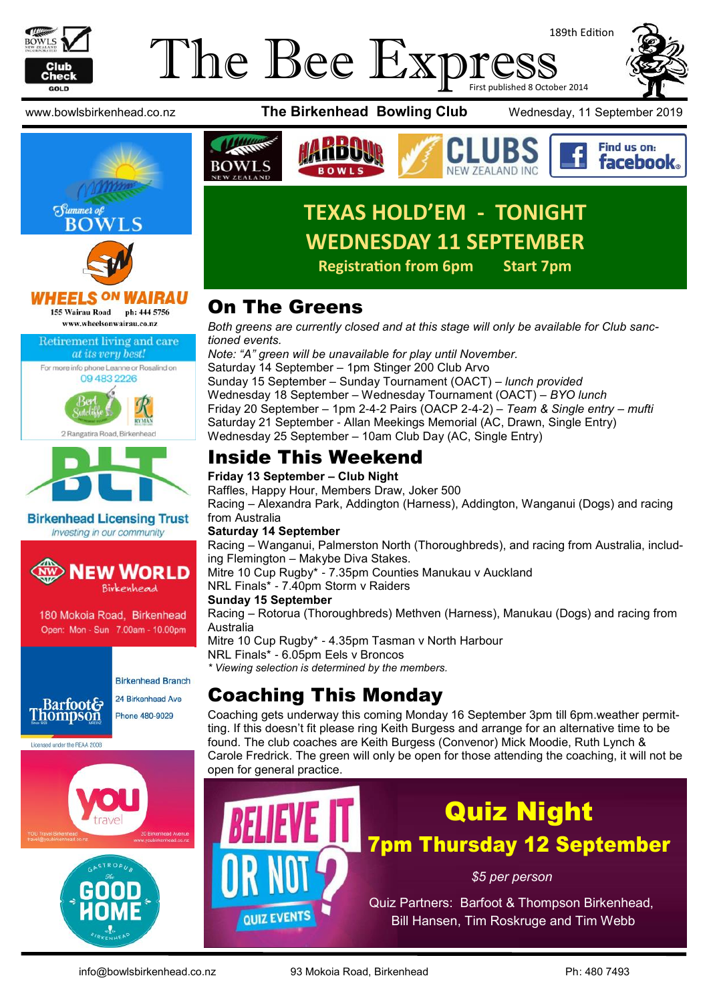

### The Bee Expi 189th Edition First published 8 October 2014







**HEELS ON** AIRAU 155 Wairau Road ph: 444 5756 www.wheelsonwairau.co.nz

Retirement living and care







**Birkenhead Licensing Trust** Investing in our community



180 Mokoia Road, Birkenhead Open: Mon - Sun 7.00am - 10.00pm



Licensed under the REAA 2008

24 Birkenhead Ave Phone 480-9029





www.bowlsbirkenhead.co.nz **The Birkenhead Bowling Club** Wednesday, 11 September 2019

Find us on:





# **TEXAS HOLD'EM - TONIGHT WEDNESDAY 11 SEPTEMBER**

**Registration from 6pm Start 7pm**

# On The Greens

*Both greens are currently closed and at this stage will only be available for Club sanctioned events.*

*Note: "A" green will be unavailable for play until November.* Saturday 14 September – 1pm Stinger 200 Club Arvo Sunday 15 September – Sunday Tournament (OACT) – *lunch provided* Wednesday 18 September – Wednesday Tournament (OACT) – *BYO lunch* Friday 20 September – 1pm 2-4-2 Pairs (OACP 2-4-2) – *Team & Single entry – mufti* Saturday 21 September - Allan Meekings Memorial (AC, Drawn, Single Entry) Wednesday 25 September – 10am Club Day (AC, Single Entry)

# Inside This Weekend

**Friday 13 September – Club Night**

Raffles, Happy Hour, Members Draw, Joker 500

Racing – Alexandra Park, Addington (Harness), Addington, Wanganui (Dogs) and racing from Australia

### **Saturday 14 September**

Racing – Wanganui, Palmerston North (Thoroughbreds), and racing from Australia, including Flemington – Makybe Diva Stakes.

Mitre 10 Cup Rugby\* - 7.35pm Counties Manukau v Auckland

NRL Finals\* - 7.40pm Storm v Raiders

### **Sunday 15 September**

**QUIZ EVENTS** 

Racing – Rotorua (Thoroughbreds) Methven (Harness), Manukau (Dogs) and racing from Australia Mitre 10 Cup Rugby\* - 4.35pm Tasman v North Harbour

NRL Finals\* - 6.05pm Eels v Broncos

*\* Viewing selection is determined by the members.*

# Coaching This Monday

Coaching gets underway this coming Monday 16 September 3pm till 6pm.weather permitting. If this doesn't fit please ring Keith Burgess and arrange for an alternative time to be found. The club coaches are Keith Burgess (Convenor) Mick Moodie, Ruth Lynch & Carole Fredrick. The green will only be open for those attending the coaching, it will not be open for general practice.

# Quiz Night 7pm Thursday 12 September

*\$5 per person*

Quiz Partners: Barfoot & Thompson Birkenhead, Bill Hansen, Tim Roskruge and Tim Webb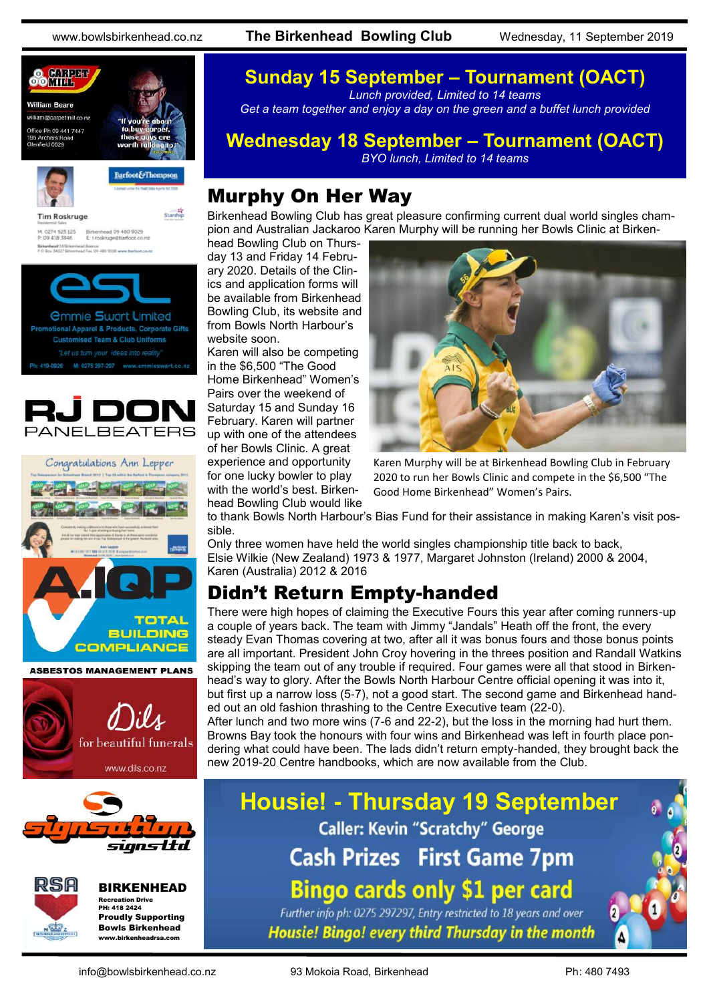www.bowlsbirkenhead.co.nz **The Birkenhead Bowling Club** Wednesday, 11 September 2019



M: 0274 923 125 Birkenhead 09 480 9029<br>P: 09 418 3846 E: troskruge@barfoot.co Birkenhead 24 BH<br>P O Box 34027 BM







**ASBESTOS MANAGEMENT PLANS** 







BIRKENHEAD Recreation Drive PH: 418 2424 Proudly Supporting Bowls Birkenhead

www.birkenheadrsa.com

### **Sunday 15 September – Tournament (OACT)** *Lunch provided, Limited to 14 teams*

*Get a team together and enjoy a day on the green and a buffet lunch provided*

### **Wednesday 18 September – Tournament (OACT)**

*BYO lunch, Limited to 14 teams*

### Murphy On Her Way

Birkenhead Bowling Club has great pleasure confirming current dual world singles champion and Australian Jackaroo Karen Murphy will be running her Bowls Clinic at Birken-

head Bowling Club on Thursday 13 and Friday 14 February 2020. Details of the Clinics and application forms will be available from Birkenhead Bowling Club, its website and from Bowls North Harbour's website soon.

Karen will also be competing in the \$6,500 "The Good Home Birkenhead" Women's Pairs over the weekend of Saturday 15 and Sunday 16 February. Karen will partner up with one of the attendees of her Bowls Clinic. A great experience and opportunity for one lucky bowler to play

with the world's best. Birkenhead Bowling Club would like



Karen Murphy will be at Birkenhead Bowling Club in February 2020 to run her Bowls Clinic and compete in the \$6,500 "The Good Home Birkenhead" Women's Pairs.

to thank Bowls North Harbour's Bias Fund for their assistance in making Karen's visit possible.

Only three women have held the world singles championship title back to back, Elsie Wilkie (New Zealand) 1973 & 1977, Margaret Johnston (Ireland) 2000 & 2004, Karen (Australia) 2012 & 2016

## Didn't Return Empty-handed

There were high hopes of claiming the Executive Fours this year after coming runners-up a couple of years back. The team with Jimmy "Jandals" Heath off the front, the every steady Evan Thomas covering at two, after all it was bonus fours and those bonus points are all important. President John Croy hovering in the threes position and Randall Watkins skipping the team out of any trouble if required. Four games were all that stood in Birkenhead's way to glory. After the Bowls North Harbour Centre official opening it was into it, but first up a narrow loss (5-7), not a good start. The second game and Birkenhead handed out an old fashion thrashing to the Centre Executive team (22-0).

After lunch and two more wins (7-6 and 22-2), but the loss in the morning had hurt them. Browns Bay took the honours with four wins and Birkenhead was left in fourth place pondering what could have been. The lads didn't return empty-handed, they brought back the new 2019-20 Centre handbooks, which are now available from the Club.

**Housie! - Thursday 19 September Caller: Kevin "Scratchy" George Cash Prizes First Game 7pm Bingo cards only \$1 per card** Further info ph: 0275 297297, Entry restricted to 18 years and over

Housie! Bingo! every third Thursday in the month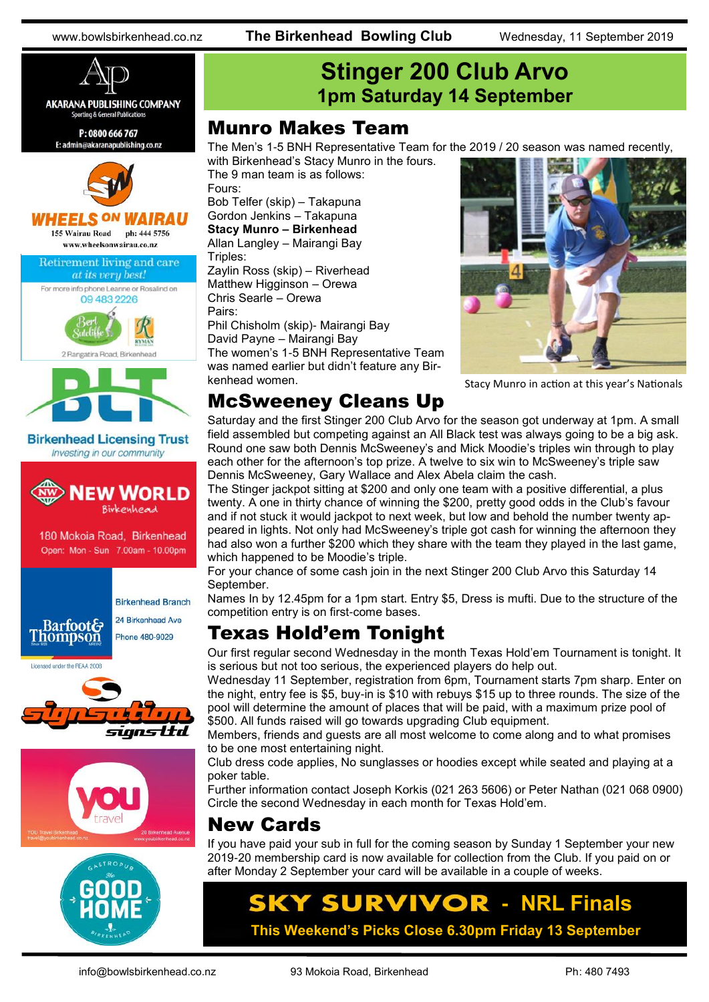www.bowlsbirkenhead.co.nz **The Birkenhead Bowling Club** Wednesday, 11 September 2019



# **Stinger 200 Club Arvo 1pm Saturday 14 September**

### Munro Makes Team

The Men's 1-5 BNH Representative Team for the 2019 / 20 season was named recently, with Birkenhead's Stacy Munro in the fours.

The 9 man team is as follows: Fours: Bob Telfer (skip) – Takapuna Gordon Jenkins – Takapuna **Stacy Munro – Birkenhead** Allan Langley – Mairangi Bay Triples: Zaylin Ross (skip) – Riverhead Matthew Higginson – Orewa Chris Searle – Orewa Pairs: Phil Chisholm (skip)- Mairangi Bay David Payne – Mairangi Bay The women's 1-5 BNH Representative Team was named earlier but didn't feature any Bir-



Stacy Munro in action at this year's Nationals

### McSweeney Cleans Up

kenhead women.

Saturday and the first Stinger 200 Club Arvo for the season got underway at 1pm. A small field assembled but competing against an All Black test was always going to be a big ask. Round one saw both Dennis McSweeney's and Mick Moodie's triples win through to play each other for the afternoon's top prize. A twelve to six win to McSweeney's triple saw Dennis McSweeney, Gary Wallace and Alex Abela claim the cash.

The Stinger jackpot sitting at \$200 and only one team with a positive differential, a plus twenty. A one in thirty chance of winning the \$200, pretty good odds in the Club's favour and if not stuck it would jackpot to next week, but low and behold the number twenty appeared in lights. Not only had McSweeney's triple got cash for winning the afternoon they had also won a further \$200 which they share with the team they played in the last game, which happened to be Moodie's triple.

For your chance of some cash join in the next Stinger 200 Club Arvo this Saturday 14 September.

Names In by 12.45pm for a 1pm start. Entry \$5, Dress is mufti. Due to the structure of the competition entry is on first-come bases.

## Texas Hold'em Tonight

Our first regular second Wednesday in the month Texas Hold'em Tournament is tonight. It is serious but not too serious, the experienced players do help out.

Wednesday 11 September, registration from 6pm, Tournament starts 7pm sharp. Enter on the night, entry fee is \$5, buy-in is \$10 with rebuys \$15 up to three rounds. The size of the pool will determine the amount of places that will be paid, with a maximum prize pool of \$500. All funds raised will go towards upgrading Club equipment.

Members, friends and guests are all most welcome to come along and to what promises to be one most entertaining night.

Club dress code applies, No sunglasses or hoodies except while seated and playing at a poker table.

Further information contact Joseph Korkis (021 263 5606) or Peter Nathan (021 068 0900) Circle the second Wednesday in each month for Texas Hold'em.

### New Cards

If you have paid your sub in full for the coming season by Sunday 1 September your new 2019-20 membership card is now available for collection from the Club. If you paid on or after Monday 2 September your card will be available in a couple of weeks.

## **This Weekend's Picks Close 6.30pm Friday 13 September SKY SURVIVOR - NRL Finals**